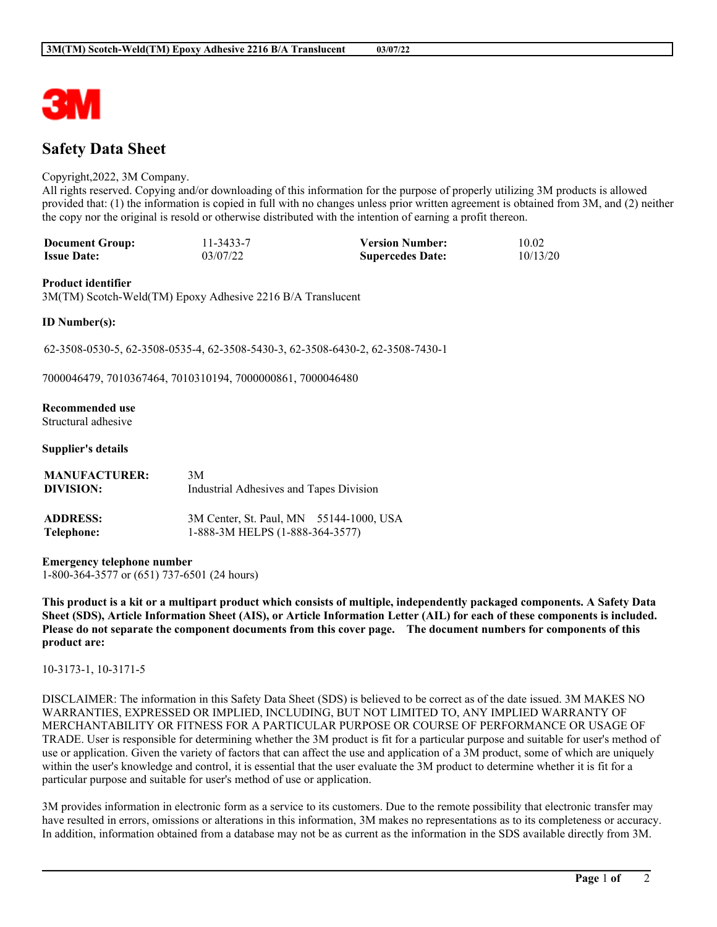# **Safety Data Sheet**

#### Copyright,2022, 3M Company.

All rights reserved. Copying and/or downloading of this information for the purpose of properly utilizing 3M products is allowed provided that: (1) the information is copied in full with no changes unless prior written agreement is obtained from 3M, and (2) neither the copy nor the original is resold or otherwise distributed with the intention of earning a profit thereon.

| <b>Document Group:</b> | 11-3433-7 | <b>Version Number:</b>  | 10.02    |
|------------------------|-----------|-------------------------|----------|
| <b>Issue Date:</b>     | 03/07/22  | <b>Supercedes Date:</b> | 10/13/20 |

#### **Product identifier**

3M(TM) Scotch-Weld(TM) Epoxy Adhesive 2216 B/A Translucent

#### **ID Number(s):**

62-3508-0530-5, 62-3508-0535-4, 62-3508-5430-3, 62-3508-6430-2, 62-3508-7430-1

7000046479, 7010367464, 7010310194, 7000000861, 7000046480

### **Recommended use**

Structural adhesive

#### **Supplier's details**

| <b>MANUFACTURER:</b> | 3M                                      |
|----------------------|-----------------------------------------|
| DIVISION:            | Industrial Adhesives and Tapes Division |
| <b>ADDRESS:</b>      | 3M Center, St. Paul, MN 55144-1000, USA |
| Telephone:           | 1-888-3M HELPS (1-888-364-3577)         |

**Emergency telephone number** 1-800-364-3577 or (651) 737-6501 (24 hours)

This product is a kit or a multipart product which consists of multiple, independently packaged components. A Safety Data Sheet (SDS), Article Information Sheet (AIS), or Article Information Letter (AIL) for each of these components is included. Please do not separate the component documents from this cover page. The document numbers for components of this **product are:**

### 10-3173-1, 10-3171-5

DISCLAIMER: The information in this Safety Data Sheet (SDS) is believed to be correct as of the date issued. 3M MAKES NO WARRANTIES, EXPRESSED OR IMPLIED, INCLUDING, BUT NOT LIMITED TO, ANY IMPLIED WARRANTY OF MERCHANTABILITY OR FITNESS FOR A PARTICULAR PURPOSE OR COURSE OF PERFORMANCE OR USAGE OF TRADE. User is responsible for determining whether the 3M product is fit for a particular purpose and suitable for user's method of use or application. Given the variety of factors that can affect the use and application of a 3M product, some of which are uniquely within the user's knowledge and control, it is essential that the user evaluate the 3M product to determine whether it is fit for a particular purpose and suitable for user's method of use or application.

3M provides information in electronic form as a service to its customers. Due to the remote possibility that electronic transfer may have resulted in errors, omissions or alterations in this information, 3M makes no representations as to its completeness or accuracy. In addition, information obtained from a database may not be as current as the information in the SDS available directly from 3M.

**\_\_\_\_\_\_\_\_\_\_\_\_\_\_\_\_\_\_\_\_\_\_\_\_\_\_\_\_\_\_\_\_\_\_\_\_\_\_\_\_\_\_\_\_\_\_\_\_\_\_\_\_\_\_\_\_\_\_\_\_\_\_\_\_\_\_\_\_\_\_\_\_\_\_\_\_\_\_\_\_\_\_\_\_\_\_\_\_\_\_\_\_\_\_\_\_\_\_\_\_\_\_\_\_**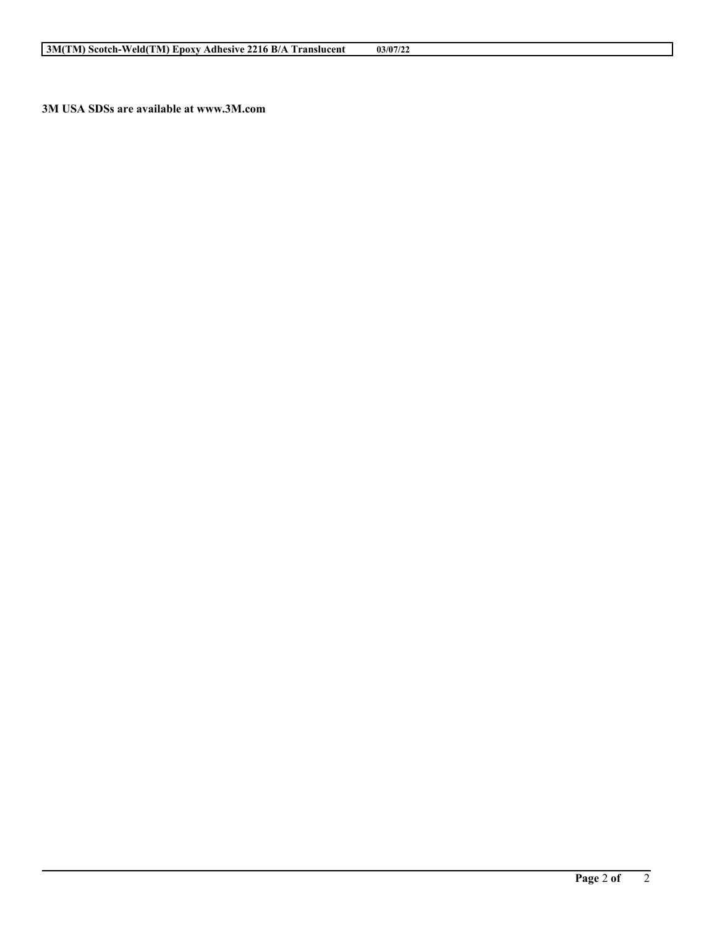**\_\_\_\_\_\_\_\_\_\_\_\_\_\_\_\_\_\_\_\_\_\_\_\_\_\_\_\_\_\_\_\_\_\_\_\_\_\_\_\_\_\_\_\_\_\_\_\_\_\_\_\_\_\_\_\_\_\_\_\_\_\_\_\_\_\_\_\_\_\_\_\_\_\_\_\_\_\_\_\_\_\_\_\_\_\_\_\_\_\_\_\_\_\_\_\_\_\_\_\_\_\_\_\_**

**3M USA SDSs are available at www.3M.com**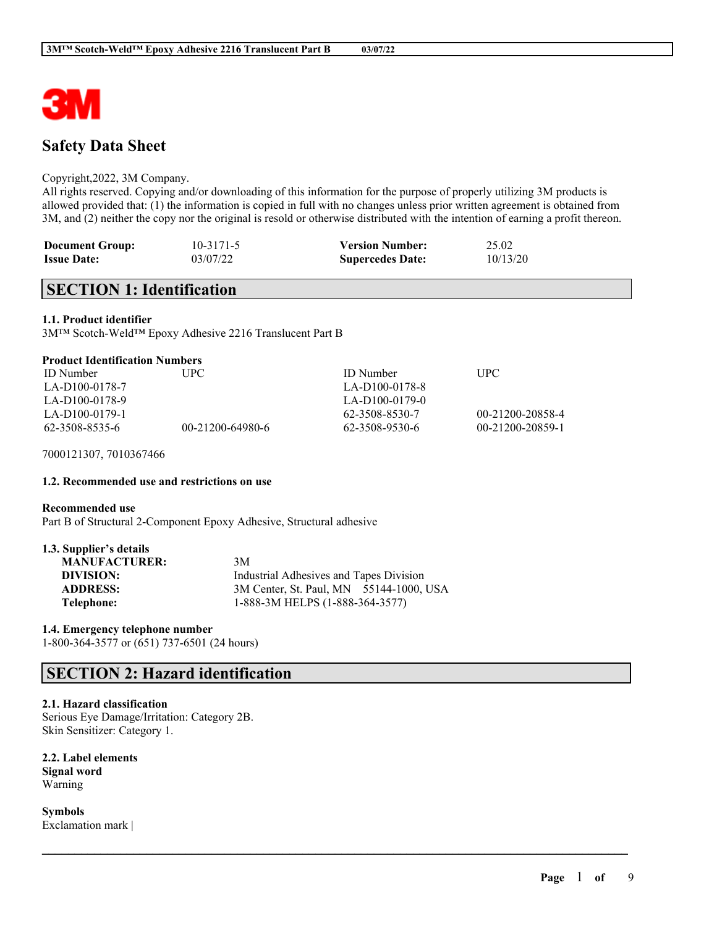

# **Safety Data Sheet**

#### Copyright,2022, 3M Company.

All rights reserved. Copying and/or downloading of this information for the purpose of properly utilizing 3M products is allowed provided that: (1) the information is copied in full with no changes unless prior written agreement is obtained from 3M, and (2) neither the copy nor the original is resold or otherwise distributed with the intention of earning a profit thereon.

| <b>Document Group:</b> | $10 - 3171 - 5$ | <b>Version Number:</b>  | 25.02    |
|------------------------|-----------------|-------------------------|----------|
| <b>Issue Date:</b>     | 03/07/22        | <b>Supercedes Date:</b> | 10/13/20 |

# **SECTION 1: Identification**

#### **1.1. Product identifier**

3M™ Scotch-Weld™ Epoxy Adhesive 2216 Translucent Part B

#### **Product Identification Numbers**

| <b>ID</b> Number | UPC-             | <b>ID</b> Number | <b>TIPC</b>      |
|------------------|------------------|------------------|------------------|
| LA-D100-0178-7   |                  | LA-D100-0178-8   |                  |
| LA-D100-0178-9   |                  | LA-D100-0179-0   |                  |
| LA-D100-0179-1   |                  | 62-3508-8530-7   | 00-21200-20858-4 |
| 62-3508-8535-6   | 00-21200-64980-6 | 62-3508-9530-6   | 00-21200-20859-1 |

 $\mathcal{L}_\mathcal{L} = \mathcal{L}_\mathcal{L} = \mathcal{L}_\mathcal{L} = \mathcal{L}_\mathcal{L} = \mathcal{L}_\mathcal{L} = \mathcal{L}_\mathcal{L} = \mathcal{L}_\mathcal{L} = \mathcal{L}_\mathcal{L} = \mathcal{L}_\mathcal{L} = \mathcal{L}_\mathcal{L} = \mathcal{L}_\mathcal{L} = \mathcal{L}_\mathcal{L} = \mathcal{L}_\mathcal{L} = \mathcal{L}_\mathcal{L} = \mathcal{L}_\mathcal{L} = \mathcal{L}_\mathcal{L} = \mathcal{L}_\mathcal{L}$ 

7000121307, 7010367466

#### **1.2. Recommended use and restrictions on use**

#### **Recommended use**

Part B of Structural 2-Component Epoxy Adhesive, Structural adhesive

#### **1.3. Supplier's details**

| <b>MANUFACTURER:</b> | 3M                                      |  |
|----------------------|-----------------------------------------|--|
| DIVISION:            | Industrial Adhesives and Tapes Division |  |
| <b>ADDRESS:</b>      | 3M Center, St. Paul, MN 55144-1000, USA |  |
| Telephone:           | 1-888-3M HELPS (1-888-364-3577)         |  |

#### **1.4. Emergency telephone number**

1-800-364-3577 or (651) 737-6501 (24 hours)

# **SECTION 2: Hazard identification**

#### **2.1. Hazard classification**

Serious Eye Damage/Irritation: Category 2B. Skin Sensitizer: Category 1.

#### **2.2. Label elements Signal word** Warning

**Symbols** Exclamation mark |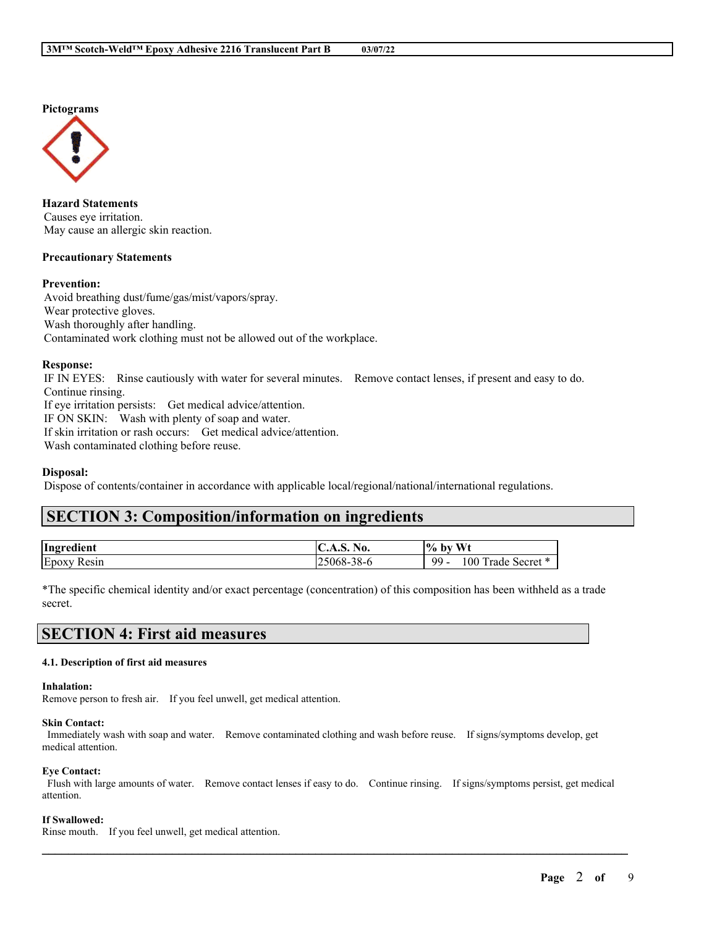**Pictograms**



**Hazard Statements** Causes eye irritation. May cause an allergic skin reaction.

#### **Precautionary Statements**

#### **Prevention:**

Avoid breathing dust/fume/gas/mist/vapors/spray. Wear protective gloves. Wash thoroughly after handling. Contaminated work clothing must not be allowed out of the workplace.

#### **Response:**

IF IN EYES: Rinse cautiously with water for several minutes. Remove contact lenses, if present and easy to do. Continue rinsing. If eye irritation persists: Get medical advice/attention. IF ON SKIN: Wash with plenty of soap and water. If skin irritation or rash occurs: Get medical advice/attention. Wash contaminated clothing before reuse.

#### **Disposal:**

Dispose of contents/container in accordance with applicable local/regional/national/international regulations.

# **SECTION 3: Composition/information on ingredients**

| Ingredient     | No.<br>IV.A.S.                                     | <b>Wt</b><br>$\frac{10}{6}$<br>b١        |
|----------------|----------------------------------------------------|------------------------------------------|
| Epoxy<br>Resin | $20^{\circ}$<br>$\pm 5068$ <sup>-2</sup><br>. 20-0 | $99 -$<br>00<br>Secret<br>rade<br>$\sim$ |

\*The specific chemical identity and/or exact percentage (concentration) of this composition has been withheld as a trade secret.

# **SECTION 4: First aid measures**

#### **4.1. Description of first aid measures**

#### **Inhalation:**

Remove person to fresh air. If you feel unwell, get medical attention.

#### **Skin Contact:**

Immediately wash with soap and water. Remove contaminated clothing and wash before reuse. If signs/symptoms develop, get medical attention.

#### **Eye Contact:**

Flush with large amounts of water. Remove contact lenses if easy to do. Continue rinsing. If signs/symptoms persist, get medical attention.

 $\mathcal{L}_\mathcal{L} = \mathcal{L}_\mathcal{L} = \mathcal{L}_\mathcal{L} = \mathcal{L}_\mathcal{L} = \mathcal{L}_\mathcal{L} = \mathcal{L}_\mathcal{L} = \mathcal{L}_\mathcal{L} = \mathcal{L}_\mathcal{L} = \mathcal{L}_\mathcal{L} = \mathcal{L}_\mathcal{L} = \mathcal{L}_\mathcal{L} = \mathcal{L}_\mathcal{L} = \mathcal{L}_\mathcal{L} = \mathcal{L}_\mathcal{L} = \mathcal{L}_\mathcal{L} = \mathcal{L}_\mathcal{L} = \mathcal{L}_\mathcal{L}$ 

#### **If Swallowed:**

Rinse mouth. If you feel unwell, get medical attention.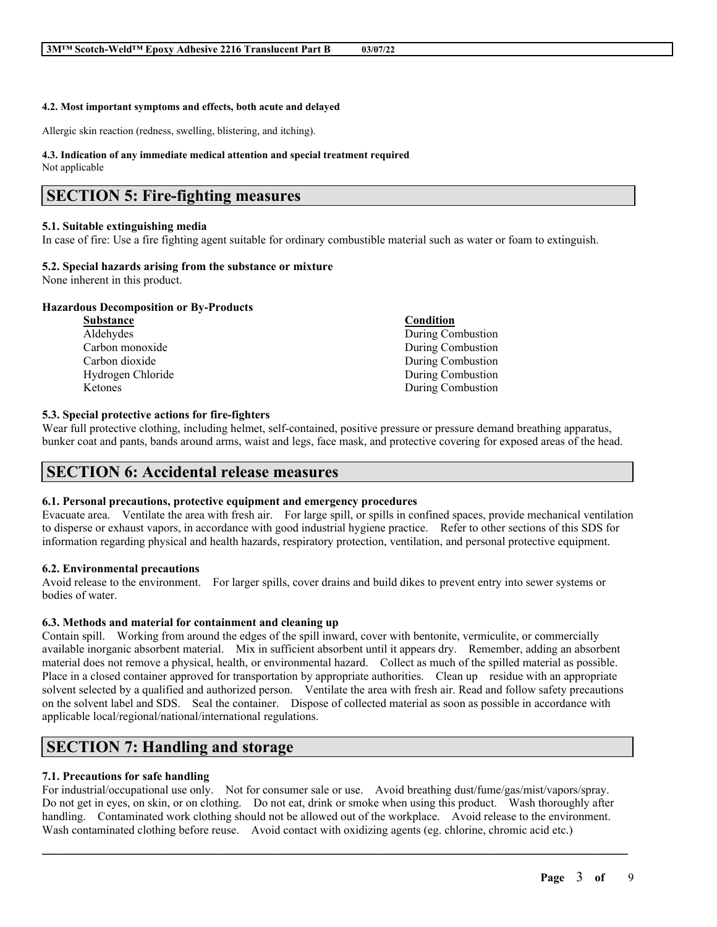#### **4.2. Most important symptoms and effects, both acute and delayed**

Allergic skin reaction (redness, swelling, blistering, and itching).

#### **4.3. Indication of any immediate medical attention and special treatment required**

Not applicable

### **SECTION 5: Fire-fighting measures**

#### **5.1. Suitable extinguishing media**

In case of fire: Use a fire fighting agent suitable for ordinary combustible material such as water or foam to extinguish.

### **5.2. Special hazards arising from the substance or mixture**

None inherent in this product.

#### **Hazardous Decomposition or By-Products**

| <b>Substance</b>  | Condition         |
|-------------------|-------------------|
| Aldehydes         | During Combustion |
| Carbon monoxide   | During Combustion |
| Carbon dioxide    | During Combustion |
| Hydrogen Chloride | During Combustion |
| Ketones           | During Combustion |

#### **5.3. Special protective actions for fire-fighters**

Wear full protective clothing, including helmet, self-contained, positive pressure or pressure demand breathing apparatus, bunker coat and pants, bands around arms, waist and legs, face mask, and protective covering for exposed areas of the head.

### **SECTION 6: Accidental release measures**

#### **6.1. Personal precautions, protective equipment and emergency procedures**

Evacuate area. Ventilate the area with fresh air. For large spill, or spills in confined spaces, provide mechanical ventilation to disperse or exhaust vapors, in accordance with good industrial hygiene practice. Refer to other sections of this SDS for information regarding physical and health hazards, respiratory protection, ventilation, and personal protective equipment.

#### **6.2. Environmental precautions**

Avoid release to the environment. For larger spills, cover drains and build dikes to prevent entry into sewer systems or bodies of water.

### **6.3. Methods and material for containment and cleaning up**

Contain spill. Working from around the edges of the spill inward, cover with bentonite, vermiculite, or commercially available inorganic absorbent material. Mix in sufficient absorbent until it appears dry. Remember, adding an absorbent material does not remove a physical, health, or environmental hazard. Collect as much of the spilled material as possible. Place in a closed container approved for transportation by appropriate authorities. Clean up residue with an appropriate solvent selected by a qualified and authorized person. Ventilate the area with fresh air. Read and follow safety precautions on the solvent label and SDS. Seal the container. Dispose of collected material as soon as possible in accordance with applicable local/regional/national/international regulations.

# **SECTION 7: Handling and storage**

### **7.1. Precautions for safe handling**

For industrial/occupational use only. Not for consumer sale or use. Avoid breathing dust/fume/gas/mist/vapors/spray. Do not get in eyes, on skin, or on clothing. Do not eat, drink or smoke when using this product. Wash thoroughly after handling. Contaminated work clothing should not be allowed out of the workplace. Avoid release to the environment. Wash contaminated clothing before reuse. Avoid contact with oxidizing agents (eg. chlorine, chromic acid etc.)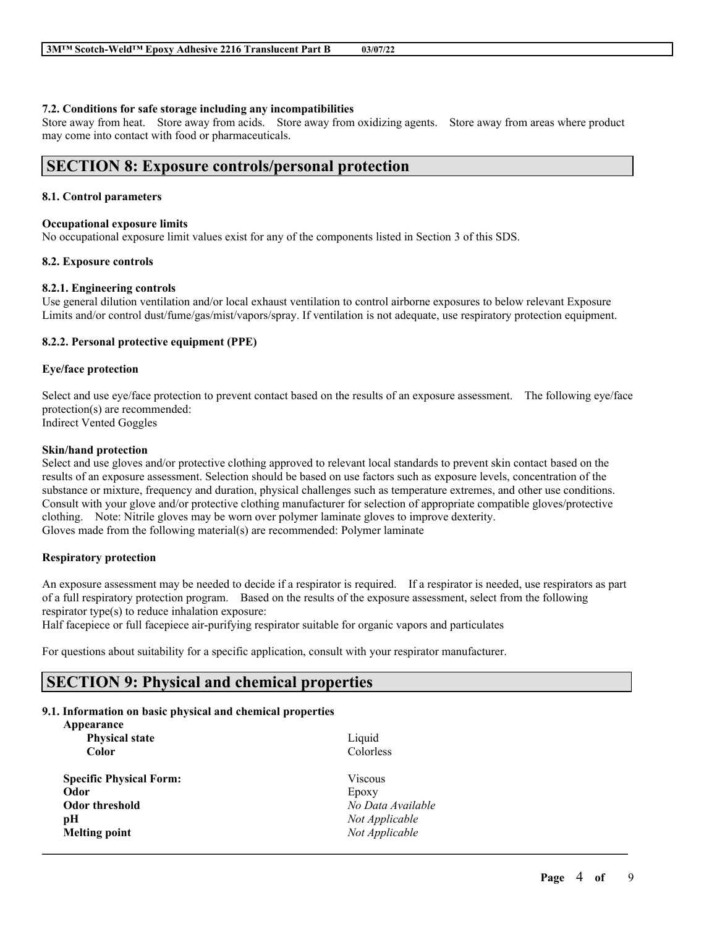#### **7.2. Conditions for safe storage including any incompatibilities**

Store away from heat. Store away from acids. Store away from oxidizing agents. Store away from areas where product may come into contact with food or pharmaceuticals.

### **SECTION 8: Exposure controls/personal protection**

#### **8.1. Control parameters**

#### **Occupational exposure limits**

No occupational exposure limit values exist for any of the components listed in Section 3 of this SDS.

#### **8.2. Exposure controls**

#### **8.2.1. Engineering controls**

Use general dilution ventilation and/or local exhaust ventilation to control airborne exposures to below relevant Exposure Limits and/or control dust/fume/gas/mist/vapors/spray. If ventilation is not adequate, use respiratory protection equipment.

#### **8.2.2. Personal protective equipment (PPE)**

#### **Eye/face protection**

Select and use eye/face protection to prevent contact based on the results of an exposure assessment. The following eye/face protection(s) are recommended: Indirect Vented Goggles

**Skin/hand protection**

Select and use gloves and/or protective clothing approved to relevant local standards to prevent skin contact based on the results of an exposure assessment. Selection should be based on use factors such as exposure levels, concentration of the substance or mixture, frequency and duration, physical challenges such as temperature extremes, and other use conditions. Consult with your glove and/or protective clothing manufacturer for selection of appropriate compatible gloves/protective clothing. Note: Nitrile gloves may be worn over polymer laminate gloves to improve dexterity. Gloves made from the following material(s) are recommended: Polymer laminate

#### **Respiratory protection**

An exposure assessment may be needed to decide if a respirator is required. If a respirator is needed, use respirators as part of a full respiratory protection program. Based on the results of the exposure assessment, select from the following respirator type(s) to reduce inhalation exposure:

Half facepiece or full facepiece air-purifying respirator suitable for organic vapors and particulates

For questions about suitability for a specific application, consult with your respirator manufacturer.

# **SECTION 9: Physical and chemical properties**

#### **9.1. Information on basic physical and chemical properties**

| Appearance<br><b>Physical state</b> | Liquid            |  |
|-------------------------------------|-------------------|--|
| <b>Color</b>                        | Colorless         |  |
| <b>Specific Physical Form:</b>      | <b>Viscous</b>    |  |
| Odor                                | Epoxy             |  |
| <b>Odor threshold</b>               | No Data Available |  |
| pН                                  | Not Applicable    |  |
| <b>Melting point</b>                | Not Applicable    |  |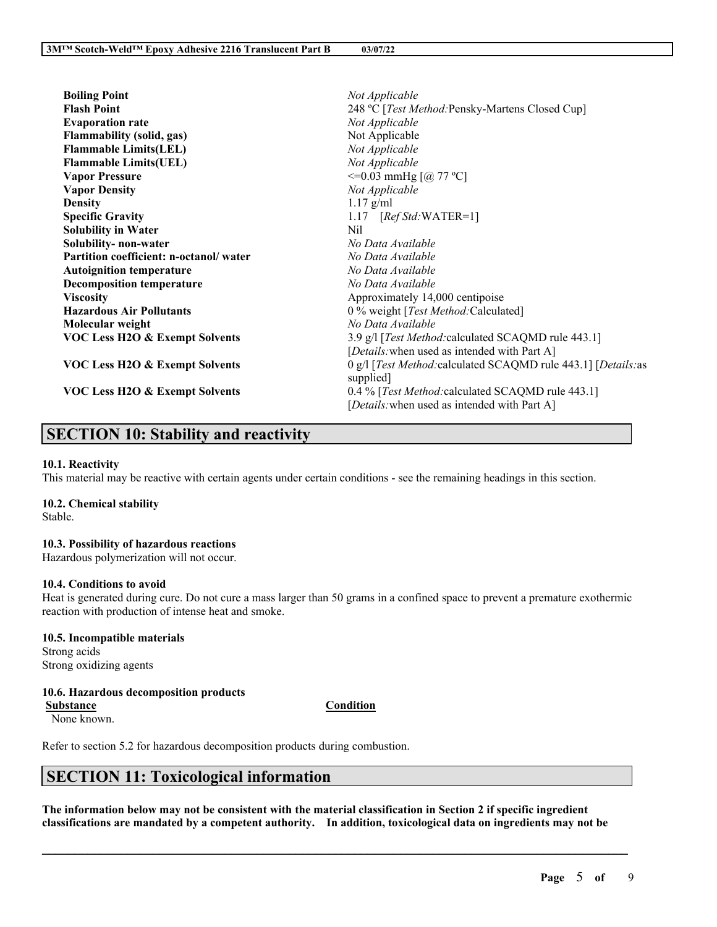| <b>Boiling Point</b>                      | Not Applicable                                                                                    |
|-------------------------------------------|---------------------------------------------------------------------------------------------------|
| <b>Flash Point</b>                        | 248 °C [Test Method: Pensky-Martens Closed Cup]                                                   |
| <b>Evaporation rate</b>                   | Not Applicable                                                                                    |
| <b>Flammability (solid, gas)</b>          | Not Applicable                                                                                    |
| <b>Flammable Limits(LEL)</b>              | Not Applicable                                                                                    |
| <b>Flammable Limits(UEL)</b>              | Not Applicable                                                                                    |
| <b>Vapor Pressure</b>                     | $\leq$ =0.03 mmHg [@ 77 °C]                                                                       |
| <b>Vapor Density</b>                      | Not Applicable                                                                                    |
| <b>Density</b>                            | $1.17$ g/ml                                                                                       |
| <b>Specific Gravity</b>                   | 1.17 $[RefStd:WATER=1]$                                                                           |
| <b>Solubility in Water</b>                | Nil.                                                                                              |
| Solubility- non-water                     | No Data Available                                                                                 |
| Partition coefficient: n-octanol/water    | No Data Available                                                                                 |
| <b>Autoignition temperature</b>           | No Data Available                                                                                 |
| <b>Decomposition temperature</b>          | No Data Available                                                                                 |
| <b>Viscosity</b>                          | Approximately 14,000 centipoise                                                                   |
| <b>Hazardous Air Pollutants</b>           | 0 % weight [Test Method: Calculated]                                                              |
| Molecular weight                          | No Data Available                                                                                 |
| <b>VOC Less H2O &amp; Exempt Solvents</b> | 3.9 g/l [Test Method: calculated SCAQMD rule 443.1]                                               |
|                                           | [Details: when used as intended with Part A]                                                      |
| <b>VOC Less H2O &amp; Exempt Solvents</b> | 0 g/l [Test Method: calculated SCAQMD rule 443.1] [Details: as<br>supplied]                       |
| VOC Less H2O & Exempt Solvents            | 0.4 % [Test Method: calculated SCAQMD rule 443.1]<br>[Details: when used as intended with Part A] |

# **SECTION 10: Stability and reactivity**

#### **10.1. Reactivity**

This material may be reactive with certain agents under certain conditions - see the remaining headings in this section.

### **10.2. Chemical stability**

Stable.

#### **10.3. Possibility of hazardous reactions**

Hazardous polymerization will not occur.

#### **10.4. Conditions to avoid**

Heat is generated during cure. Do not cure a mass larger than 50 grams in a confined space to prevent a premature exothermic reaction with production of intense heat and smoke.

### **10.5. Incompatible materials** Strong acids

Strong oxidizing agents

### **10.6. Hazardous decomposition products**

**Substance Condition**

None known.

Refer to section 5.2 for hazardous decomposition products during combustion.

# **SECTION 11: Toxicological information**

The information below may not be consistent with the material classification in Section 2 if specific ingredient **classifications are mandated by a competent authority. In addition, toxicological data on ingredients may not be**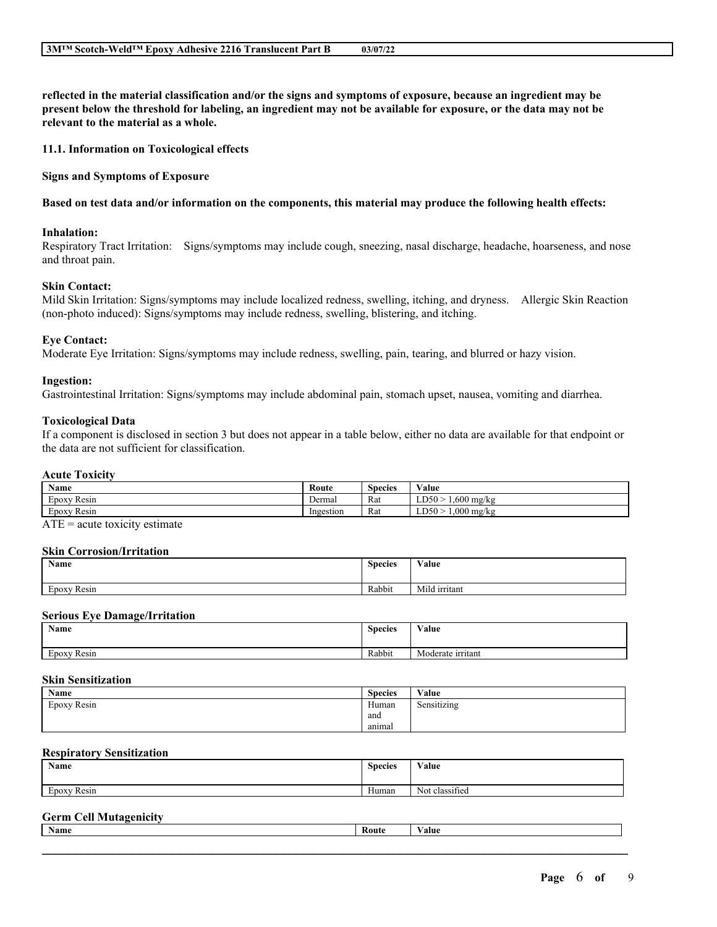reflected in the material classification and/or the signs and symptoms of exposure, because an ingredient may be present below the threshold for labeling, an ingredient may not be available for exposure, or the data may not be **relevant to the material as a whole.**

**11.1. Information on Toxicological effects**

**Signs and Symptoms of Exposure**

#### Based on test data and/or information on the components, this material may produce the following health effects:

#### **Inhalation:**

Respiratory Tract Irritation: Signs/symptoms may include cough, sneezing, nasal discharge, headache, hoarseness, and nose and throat pain.

#### **Skin Contact:**

Mild Skin Irritation: Signs/symptoms may include localized redness, swelling, itching, and dryness. Allergic Skin Reaction (non-photo induced): Signs/symptoms may include redness, swelling, blistering, and itching.

#### **Eye Contact:**

Moderate Eye Irritation: Signs/symptoms may include redness, swelling, pain, tearing, and blurred or hazy vision.

#### **Ingestion:**

Gastrointestinal Irritation: Signs/symptoms may include abdominal pain, stomach upset, nausea, vomiting and diarrhea.

#### **Toxicological Data**

If a component is disclosed in section 3 but does not appear in a table below, either no data are available for that endpoint or the data are not sufficient for classification.

#### **Acute Toxicity**

| <b>Name</b>                 | Route     | <b>Species</b> | Value                    |
|-----------------------------|-----------|----------------|--------------------------|
| T.<br>$\sim$<br>Epoxy Resin | Dermal    | Rat            | .600 mg/kg<br>LD50       |
| $\sim$<br>Epoxy Resin       | Ingestion | Rat            | $.000$ mg/kg<br>$LD50$ > |

 $ATE = acute$  toxicity estimate

#### **Skin Corrosion/Irritation**

| <b>Name</b>              | <b>Species</b> | Value         |
|--------------------------|----------------|---------------|
| $\sim$<br>Resin<br>Epoxy | Rabbit         | Mild irritant |

#### **Serious Eye Damage/Irritation**

| Name                     | <b>Species</b> | Value             |
|--------------------------|----------------|-------------------|
| $\sim$<br>Resin<br>Epoxy | Rabbit         | Moderate irritant |

#### **Skin Sensitization**

| Name        | $\sim$<br><b>Species</b> | Value            |
|-------------|--------------------------|------------------|
| Epoxy Resin | Human                    | .<br>Sensitizing |
|             | and                      |                  |
|             | animal                   |                  |

#### **Respiratory Sensitization**

| Name                                   | <b>Species</b> | Value                    |
|----------------------------------------|----------------|--------------------------|
| $\sim$<br>$\sim$ $\sim$<br>Epoxy Resin | Human          | $\sim$<br>Not classified |

### **Germ Cell Mutagenicity**

| <b>Name</b> | $\sim$<br>Route | 'alue |
|-------------|-----------------|-------|
|             |                 |       |
|             |                 |       |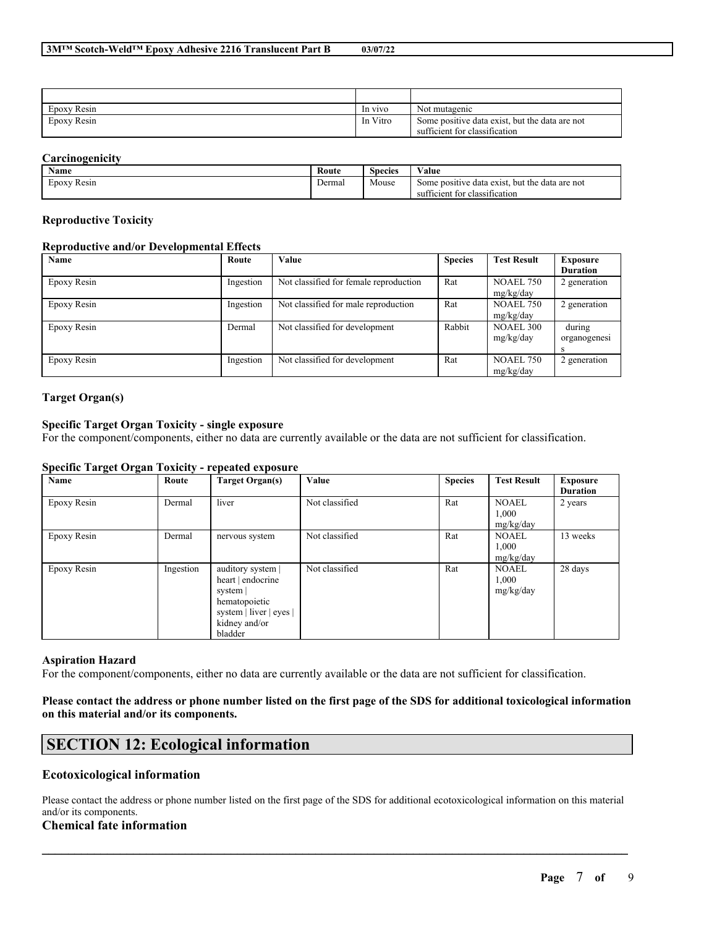| Epoxy Resin | In vivo  | Not mutagenic                                  |
|-------------|----------|------------------------------------------------|
| Epoxy Resin | In Vitro | Some positive data exist, but the data are not |
|             |          | sufficient for classification                  |

#### **Carcinogenicity**

| $\mathbf{v}$<br>Name               | Route  | $\sim$<br><b>Species</b> | <b>WY 3</b><br>Value                                     |
|------------------------------------|--------|--------------------------|----------------------------------------------------------|
| $\sim$<br>$\sim$<br>Resin<br>EDOXV | Dermal | Mouse                    | e data exist.<br>. but the data are not<br>Some positive |
|                                    |        |                          | sufficient for classification                            |

#### **Reproductive Toxicity**

#### **Reproductive and/or Developmental Effects**

| Name        | Route     | Value                                  | <b>Species</b> | <b>Test Result</b> | Exposure        |
|-------------|-----------|----------------------------------------|----------------|--------------------|-----------------|
|             |           |                                        |                |                    | <b>Duration</b> |
| Epoxy Resin | Ingestion | Not classified for female reproduction | Rat            | <b>NOAEL 750</b>   | 2 generation    |
|             |           |                                        |                | mg/kg/day          |                 |
| Epoxy Resin | Ingestion | Not classified for male reproduction   | Rat            | <b>NOAEL 750</b>   | 2 generation    |
|             |           |                                        |                | mg/kg/day          |                 |
| Epoxy Resin | Dermal    | Not classified for development         | Rabbit         | <b>NOAEL 300</b>   | during          |
|             |           |                                        |                | mg/kg/day          | organogenesi    |
|             |           |                                        |                |                    | S               |
| Epoxy Resin | Ingestion | Not classified for development         | Rat            | <b>NOAEL 750</b>   | 2 generation    |
|             |           |                                        |                | mg/kg/day          |                 |

#### **Target Organ(s)**

#### **Specific Target Organ Toxicity - single exposure**

For the component/components, either no data are currently available or the data are not sufficient for classification.

#### **Specific Target Organ Toxicity - repeated exposure**

| Name        | Route     | <b>Target Organ(s)</b>                                                                                                     | Value          | <b>Species</b> | <b>Test Result</b>                 | Exposure<br><b>Duration</b> |
|-------------|-----------|----------------------------------------------------------------------------------------------------------------------------|----------------|----------------|------------------------------------|-----------------------------|
| Epoxy Resin | Dermal    | liver                                                                                                                      | Not classified | Rat            | <b>NOAEL</b><br>1,000<br>mg/kg/day | 2 years                     |
| Epoxy Resin | Dermal    | nervous system                                                                                                             | Not classified | Rat            | <b>NOAEL</b><br>1,000<br>mg/kg/day | 13 weeks                    |
| Epoxy Resin | Ingestion | auditory system  <br>heart   endocrine<br>system  <br>hematopoietic<br>system   liver   eyes  <br>kidney and/or<br>bladder | Not classified | Rat            | <b>NOAEL</b><br>1,000<br>mg/kg/day | 28 days                     |

#### **Aspiration Hazard**

For the component/components, either no data are currently available or the data are not sufficient for classification.

#### Please contact the address or phone number listed on the first page of the SDS for additional toxicological information **on this material and/or its components.**

# **SECTION 12: Ecological information**

#### **Ecotoxicological information**

Please contact the address or phone number listed on the first page of the SDS for additional ecotoxicological information on this material and/or its components.

 $\mathcal{L}_\mathcal{L} = \mathcal{L}_\mathcal{L} = \mathcal{L}_\mathcal{L} = \mathcal{L}_\mathcal{L} = \mathcal{L}_\mathcal{L} = \mathcal{L}_\mathcal{L} = \mathcal{L}_\mathcal{L} = \mathcal{L}_\mathcal{L} = \mathcal{L}_\mathcal{L} = \mathcal{L}_\mathcal{L} = \mathcal{L}_\mathcal{L} = \mathcal{L}_\mathcal{L} = \mathcal{L}_\mathcal{L} = \mathcal{L}_\mathcal{L} = \mathcal{L}_\mathcal{L} = \mathcal{L}_\mathcal{L} = \mathcal{L}_\mathcal{L}$ 

### **Chemical fate information**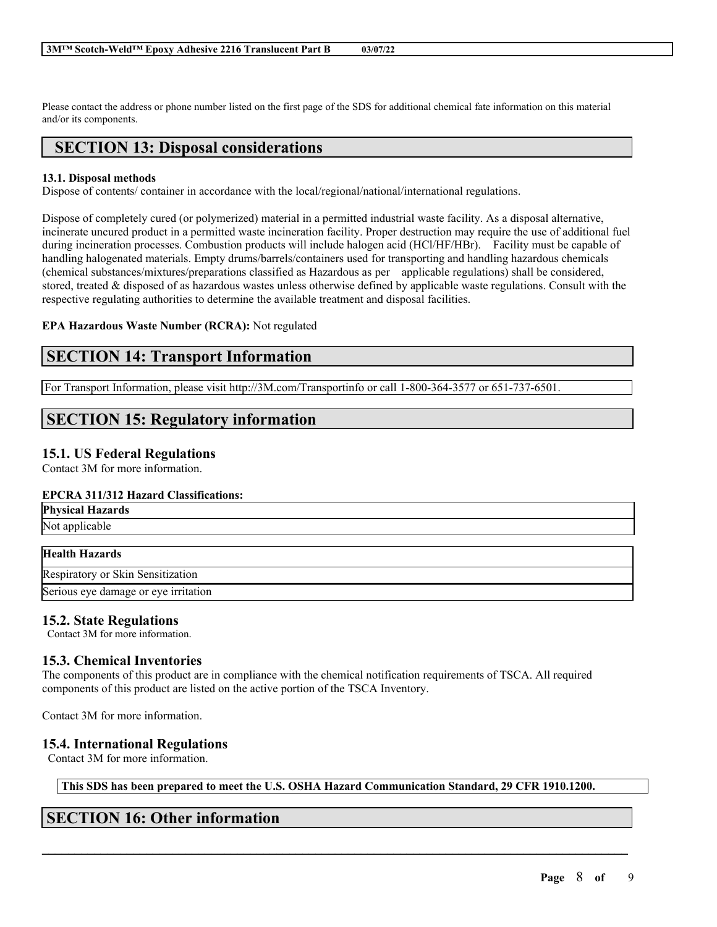Please contact the address or phone number listed on the first page of the SDS for additional chemical fate information on this material and/or its components.

# **SECTION 13: Disposal considerations**

### **13.1. Disposal methods**

Dispose of contents/ container in accordance with the local/regional/national/international regulations.

Dispose of completely cured (or polymerized) material in a permitted industrial waste facility. As a disposal alternative, incinerate uncured product in a permitted waste incineration facility. Proper destruction may require the use of additional fuel during incineration processes. Combustion products will include halogen acid (HCl/HF/HBr). Facility must be capable of handling halogenated materials. Empty drums/barrels/containers used for transporting and handling hazardous chemicals (chemical substances/mixtures/preparations classified as Hazardous as per applicable regulations) shall be considered, stored, treated & disposed of as hazardous wastes unless otherwise defined by applicable waste regulations. Consult with the respective regulating authorities to determine the available treatment and disposal facilities.

### **EPA Hazardous Waste Number (RCRA):** Not regulated

# **SECTION 14: Transport Information**

For Transport Information, please visit http://3M.com/Transportinfo or call 1-800-364-3577 or 651-737-6501.

# **SECTION 15: Regulatory information**

### **15.1. US Federal Regulations**

Contact 3M for more information.

### **EPCRA 311/312 Hazard Classifications:**

| <b>Physical Hazards</b>                                                 |  |
|-------------------------------------------------------------------------|--|
| $N_{L}$ $L_{L}$ $L_{L}$ $L_{L}$ $L_{L}$ $L_{L}$ $L_{L}$ $L_{L}$ $L_{L}$ |  |

Not applicable

### **Health Hazards**

Respiratory or Skin Sensitization Serious eye damage or eye irritation

### **15.2. State Regulations**

Contact 3M for more information.

### **15.3. Chemical Inventories**

The components of this product are in compliance with the chemical notification requirements of TSCA. All required components of this product are listed on the active portion of the TSCA Inventory.

Contact 3M for more information.

### **15.4. International Regulations**

Contact 3M for more information.

**This SDS has been prepared to meet the U.S. OSHA Hazard Communication Standard, 29 CFR 1910.1200.**

 $\mathcal{L}_\mathcal{L} = \mathcal{L}_\mathcal{L} = \mathcal{L}_\mathcal{L} = \mathcal{L}_\mathcal{L} = \mathcal{L}_\mathcal{L} = \mathcal{L}_\mathcal{L} = \mathcal{L}_\mathcal{L} = \mathcal{L}_\mathcal{L} = \mathcal{L}_\mathcal{L} = \mathcal{L}_\mathcal{L} = \mathcal{L}_\mathcal{L} = \mathcal{L}_\mathcal{L} = \mathcal{L}_\mathcal{L} = \mathcal{L}_\mathcal{L} = \mathcal{L}_\mathcal{L} = \mathcal{L}_\mathcal{L} = \mathcal{L}_\mathcal{L}$ 

# **SECTION 16: Other information**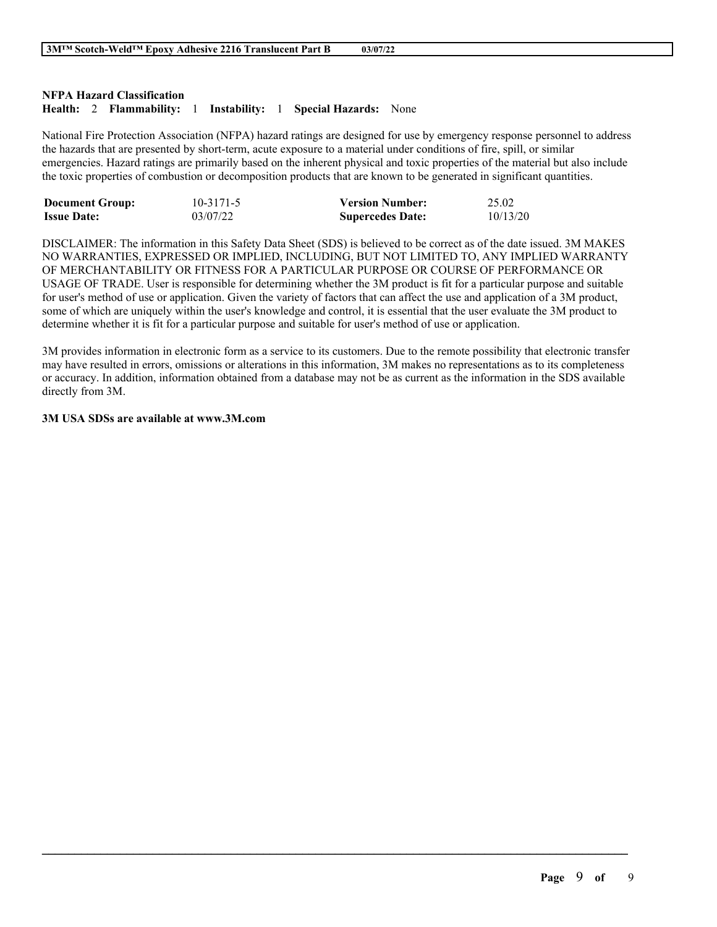### **NFPA Hazard Classification**

### **Health:** 2 **Flammability:** 1 **Instability:** 1 **Special Hazards:** None

National Fire Protection Association (NFPA) hazard ratings are designed for use by emergency response personnel to address the hazards that are presented by short-term, acute exposure to a material under conditions of fire, spill, or similar emergencies. Hazard ratings are primarily based on the inherent physical and toxic properties of the material but also include the toxic properties of combustion or decomposition products that are known to be generated in significant quantities.

| <b>Document Group:</b> | $10 - 3171 - 5$ | <b>Version Number:</b>  | 25.02    |
|------------------------|-----------------|-------------------------|----------|
| <b>Issue Date:</b>     | 03/07/22        | <b>Supercedes Date:</b> | 10/13/20 |

DISCLAIMER: The information in this Safety Data Sheet (SDS) is believed to be correct as of the date issued. 3M MAKES NO WARRANTIES, EXPRESSED OR IMPLIED, INCLUDING, BUT NOT LIMITED TO, ANY IMPLIED WARRANTY OF MERCHANTABILITY OR FITNESS FOR A PARTICULAR PURPOSE OR COURSE OF PERFORMANCE OR USAGE OF TRADE. User is responsible for determining whether the 3M product is fit for a particular purpose and suitable for user's method of use or application. Given the variety of factors that can affect the use and application of a 3M product, some of which are uniquely within the user's knowledge and control, it is essential that the user evaluate the 3M product to determine whether it is fit for a particular purpose and suitable for user's method of use or application.

3M provides information in electronic form as a service to its customers. Due to the remote possibility that electronic transfer may have resulted in errors, omissions or alterations in this information, 3M makes no representations as to its completeness or accuracy. In addition, information obtained from a database may not be as current as the information in the SDS available directly from 3M.

 $\mathcal{L}_\mathcal{L} = \mathcal{L}_\mathcal{L} = \mathcal{L}_\mathcal{L} = \mathcal{L}_\mathcal{L} = \mathcal{L}_\mathcal{L} = \mathcal{L}_\mathcal{L} = \mathcal{L}_\mathcal{L} = \mathcal{L}_\mathcal{L} = \mathcal{L}_\mathcal{L} = \mathcal{L}_\mathcal{L} = \mathcal{L}_\mathcal{L} = \mathcal{L}_\mathcal{L} = \mathcal{L}_\mathcal{L} = \mathcal{L}_\mathcal{L} = \mathcal{L}_\mathcal{L} = \mathcal{L}_\mathcal{L} = \mathcal{L}_\mathcal{L}$ 

#### **3M USA SDSs are available at www.3M.com**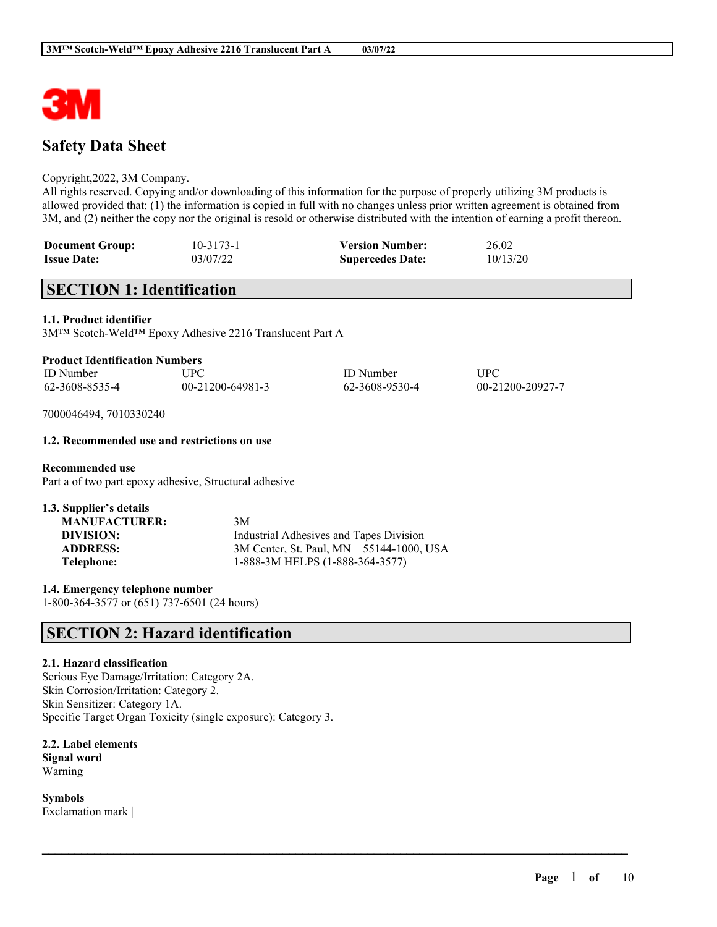

# **Safety Data Sheet**

#### Copyright,2022, 3M Company.

All rights reserved. Copying and/or downloading of this information for the purpose of properly utilizing 3M products is allowed provided that: (1) the information is copied in full with no changes unless prior written agreement is obtained from 3M, and (2) neither the copy nor the original is resold or otherwise distributed with the intention of earning a profit thereon.

| <b>Document Group:</b> | $10 - 3173 - 1$ | <b>Version Number:</b>  | 26.02    |
|------------------------|-----------------|-------------------------|----------|
| <b>Issue Date:</b>     | 03/07/22        | <b>Supercedes Date:</b> | 10/13/20 |

# **SECTION 1: Identification**

#### **1.1. Product identifier**

3M™ Scotch-Weld™ Epoxy Adhesive 2216 Translucent Part A

| <b>Product Identification Numbers</b> |  |
|---------------------------------------|--|
|                                       |  |

| <b>ID</b> Number | UPC              | <b>ID</b> Number | UPC              |
|------------------|------------------|------------------|------------------|
| 62-3608-8535-4   | 00-21200-64981-3 | 62-3608-9530-4   | 00-21200-20927-7 |

 $\mathcal{L}_\mathcal{L} = \mathcal{L}_\mathcal{L} = \mathcal{L}_\mathcal{L} = \mathcal{L}_\mathcal{L} = \mathcal{L}_\mathcal{L} = \mathcal{L}_\mathcal{L} = \mathcal{L}_\mathcal{L} = \mathcal{L}_\mathcal{L} = \mathcal{L}_\mathcal{L} = \mathcal{L}_\mathcal{L} = \mathcal{L}_\mathcal{L} = \mathcal{L}_\mathcal{L} = \mathcal{L}_\mathcal{L} = \mathcal{L}_\mathcal{L} = \mathcal{L}_\mathcal{L} = \mathcal{L}_\mathcal{L} = \mathcal{L}_\mathcal{L}$ 

7000046494, 7010330240

#### **1.2. Recommended use and restrictions on use**

**Recommended use** Part a of two part epoxy adhesive, Structural adhesive

| <b>MANUFACTURER:</b> | 3M                                      |  |  |  |
|----------------------|-----------------------------------------|--|--|--|
| DIVISION:            | Industrial Adhesives and Tapes Division |  |  |  |
| <b>ADDRESS:</b>      | 3M Center, St. Paul, MN 55144-1000, USA |  |  |  |
| Telephone:           | 1-888-3M HELPS (1-888-364-3577)         |  |  |  |

**1.4. Emergency telephone number**

1-800-364-3577 or (651) 737-6501 (24 hours)

# **SECTION 2: Hazard identification**

#### **2.1. Hazard classification**

Serious Eye Damage/Irritation: Category 2A. Skin Corrosion/Irritation: Category 2. Skin Sensitizer: Category 1A. Specific Target Organ Toxicity (single exposure): Category 3.

**2.2. Label elements Signal word** Warning

**Symbols** Exclamation mark |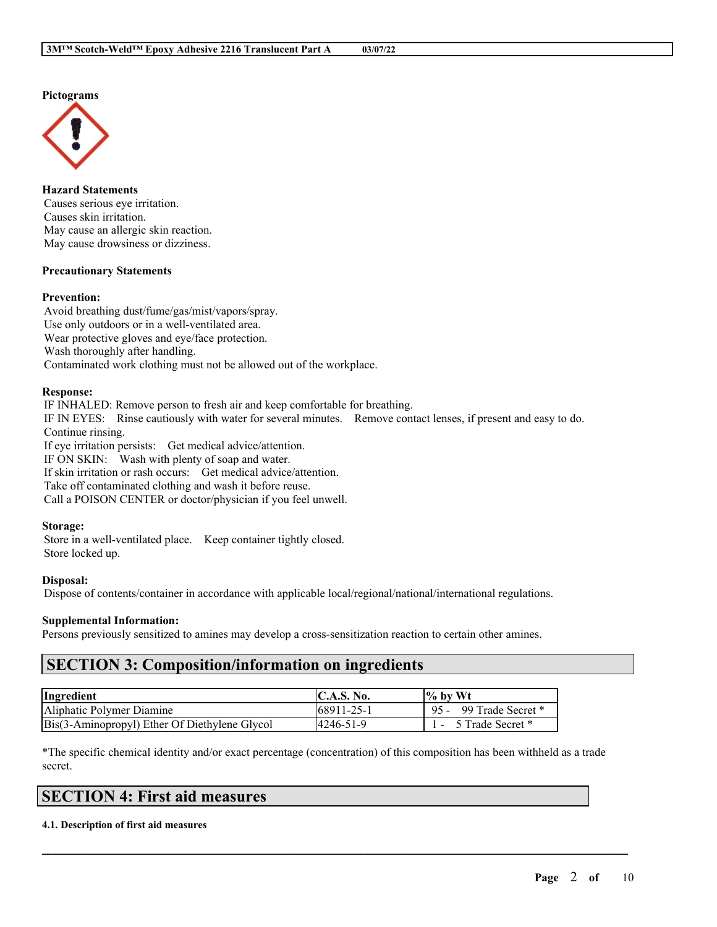**Pictograms**



**Hazard Statements** Causes serious eye irritation. Causes skin irritation. May cause an allergic skin reaction. May cause drowsiness or dizziness.

#### **Precautionary Statements**

#### **Prevention:**

Avoid breathing dust/fume/gas/mist/vapors/spray. Use only outdoors or in a well-ventilated area. Wear protective gloves and eye/face protection. Wash thoroughly after handling. Contaminated work clothing must not be allowed out of the workplace.

#### **Response:**

IF INHALED: Remove person to fresh air and keep comfortable for breathing. IF IN EYES: Rinse cautiously with water for several minutes. Remove contact lenses, if present and easy to do. Continue rinsing. If eye irritation persists: Get medical advice/attention. IF ON SKIN: Wash with plenty of soap and water.

If skin irritation or rash occurs: Get medical advice/attention. Take off contaminated clothing and wash it before reuse.

Call a POISON CENTER or doctor/physician if you feel unwell.

#### **Storage:**

Store in a well-ventilated place. Keep container tightly closed. Store locked up.

#### **Disposal:**

Dispose of contents/container in accordance with applicable local/regional/national/international regulations.

#### **Supplemental Information:**

Persons previously sensitized to amines may develop a cross-sensitization reaction to certain other amines.

### **SECTION 3: Composition/information on ingredients**

| Ingredient                                    | <b>IC.A.S. No.</b> | $\frac{1}{6}$ by Wt    |
|-----------------------------------------------|--------------------|------------------------|
| Aliphatic Polymer Diamine                     | 168911-25-1        | 95 - 99 Trade Secret * |
| Bis(3-Aminopropyl) Ether Of Diethylene Glycol | 14246-51-9         | 5 Trade Secret *       |

\*The specific chemical identity and/or exact percentage (concentration) of this composition has been withheld as a trade secret.

 $\mathcal{L}_\mathcal{L} = \mathcal{L}_\mathcal{L} = \mathcal{L}_\mathcal{L} = \mathcal{L}_\mathcal{L} = \mathcal{L}_\mathcal{L} = \mathcal{L}_\mathcal{L} = \mathcal{L}_\mathcal{L} = \mathcal{L}_\mathcal{L} = \mathcal{L}_\mathcal{L} = \mathcal{L}_\mathcal{L} = \mathcal{L}_\mathcal{L} = \mathcal{L}_\mathcal{L} = \mathcal{L}_\mathcal{L} = \mathcal{L}_\mathcal{L} = \mathcal{L}_\mathcal{L} = \mathcal{L}_\mathcal{L} = \mathcal{L}_\mathcal{L}$ 

# **SECTION 4: First aid measures**

#### **4.1. Description of first aid measures**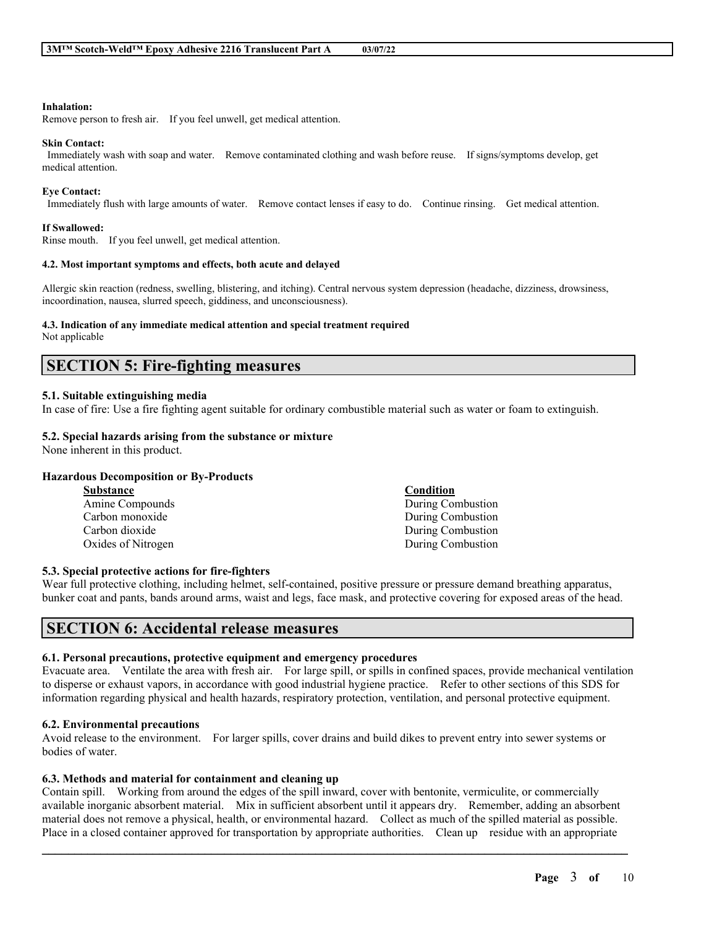#### **Inhalation:**

Remove person to fresh air. If you feel unwell, get medical attention.

#### **Skin Contact:**

Immediately wash with soap and water. Remove contaminated clothing and wash before reuse. If signs/symptoms develop, get medical attention.

#### **Eye Contact:**

Immediately flush with large amounts of water. Remove contact lenses if easy to do. Continue rinsing. Get medical attention.

#### **If Swallowed:**

Rinse mouth. If you feel unwell, get medical attention.

#### **4.2. Most important symptoms and effects, both acute and delayed**

Allergic skin reaction (redness, swelling, blistering, and itching). Central nervous system depression (headache, dizziness, drowsiness, incoordination, nausea, slurred speech, giddiness, and unconsciousness).

#### **4.3. Indication of any immediate medical attention and special treatment required**

Not applicable

# **SECTION 5: Fire-fighting measures**

#### **5.1. Suitable extinguishing media**

In case of fire: Use a fire fighting agent suitable for ordinary combustible material such as water or foam to extinguish.

#### **5.2. Special hazards arising from the substance or mixture**

None inherent in this product.

### **Hazardous Decomposition or By-Products**

| <b>Substance</b>   | Condition         |
|--------------------|-------------------|
| Amine Compounds    | During Combustion |
| Carbon monoxide    | During Combustion |
| Carbon dioxide     | During Combustion |
| Oxides of Nitrogen | During Combustion |

#### **5.3. Special protective actions for fire-fighters**

Wear full protective clothing, including helmet, self-contained, positive pressure or pressure demand breathing apparatus, bunker coat and pants, bands around arms, waist and legs, face mask, and protective covering for exposed areas of the head.

### **SECTION 6: Accidental release measures**

#### **6.1. Personal precautions, protective equipment and emergency procedures**

Evacuate area. Ventilate the area with fresh air. For large spill, or spills in confined spaces, provide mechanical ventilation to disperse or exhaust vapors, in accordance with good industrial hygiene practice. Refer to other sections of this SDS for information regarding physical and health hazards, respiratory protection, ventilation, and personal protective equipment.

### **6.2. Environmental precautions**

Avoid release to the environment. For larger spills, cover drains and build dikes to prevent entry into sewer systems or bodies of water.

### **6.3. Methods and material for containment and cleaning up**

Contain spill. Working from around the edges of the spill inward, cover with bentonite, vermiculite, or commercially available inorganic absorbent material. Mix in sufficient absorbent until it appears dry. Remember, adding an absorbent material does not remove a physical, health, or environmental hazard. Collect as much of the spilled material as possible. Place in a closed container approved for transportation by appropriate authorities. Clean up residue with an appropriate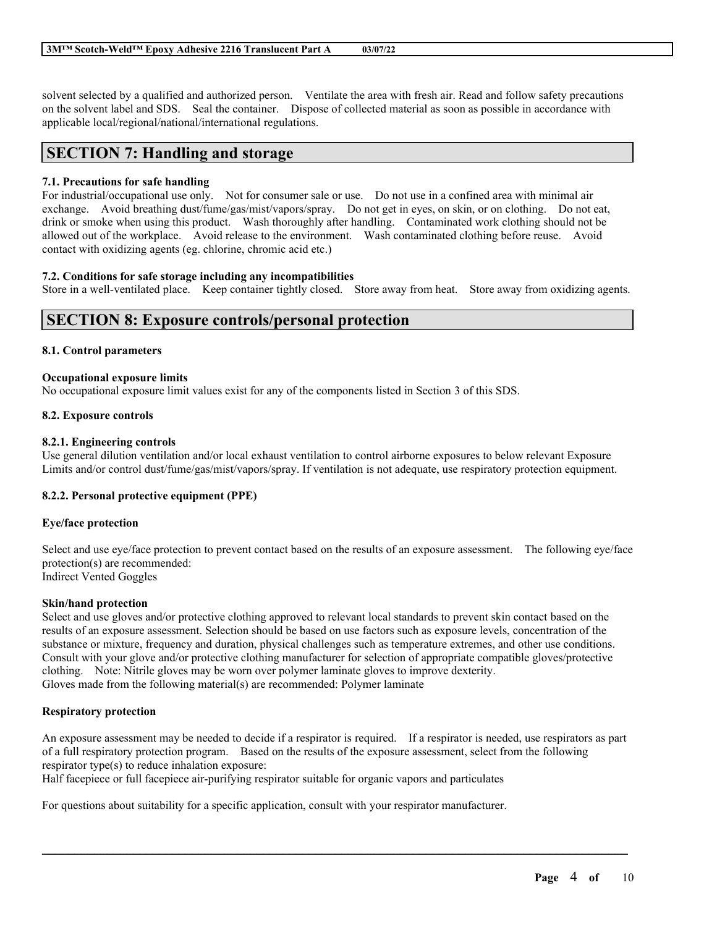solvent selected by a qualified and authorized person. Ventilate the area with fresh air. Read and follow safety precautions on the solvent label and SDS. Seal the container. Dispose of collected material as soon as possible in accordance with applicable local/regional/national/international regulations.

### **SECTION 7: Handling and storage**

#### **7.1. Precautions for safe handling**

For industrial/occupational use only. Not for consumer sale or use. Do not use in a confined area with minimal air exchange. Avoid breathing dust/fume/gas/mist/vapors/spray. Do not get in eyes, on skin, or on clothing. Do not eat, drink or smoke when using this product. Wash thoroughly after handling. Contaminated work clothing should not be allowed out of the workplace. Avoid release to the environment. Wash contaminated clothing before reuse. Avoid contact with oxidizing agents (eg. chlorine, chromic acid etc.)

#### **7.2. Conditions for safe storage including any incompatibilities**

Store in a well-ventilated place. Keep container tightly closed. Store away from heat. Store away from oxidizing agents.

### **SECTION 8: Exposure controls/personal protection**

#### **8.1. Control parameters**

#### **Occupational exposure limits**

No occupational exposure limit values exist for any of the components listed in Section 3 of this SDS.

#### **8.2. Exposure controls**

#### **8.2.1. Engineering controls**

Use general dilution ventilation and/or local exhaust ventilation to control airborne exposures to below relevant Exposure Limits and/or control dust/fume/gas/mist/vapors/spray. If ventilation is not adequate, use respiratory protection equipment.

### **8.2.2. Personal protective equipment (PPE)**

#### **Eye/face protection**

Select and use eye/face protection to prevent contact based on the results of an exposure assessment. The following eye/face protection(s) are recommended: Indirect Vented Goggles

#### **Skin/hand protection**

Select and use gloves and/or protective clothing approved to relevant local standards to prevent skin contact based on the results of an exposure assessment. Selection should be based on use factors such as exposure levels, concentration of the substance or mixture, frequency and duration, physical challenges such as temperature extremes, and other use conditions. Consult with your glove and/or protective clothing manufacturer for selection of appropriate compatible gloves/protective clothing. Note: Nitrile gloves may be worn over polymer laminate gloves to improve dexterity. Gloves made from the following material(s) are recommended: Polymer laminate

#### **Respiratory protection**

An exposure assessment may be needed to decide if a respirator is required. If a respirator is needed, use respirators as part of a full respiratory protection program. Based on the results of the exposure assessment, select from the following respirator type(s) to reduce inhalation exposure:

 $\mathcal{L}_\mathcal{L} = \mathcal{L}_\mathcal{L} = \mathcal{L}_\mathcal{L} = \mathcal{L}_\mathcal{L} = \mathcal{L}_\mathcal{L} = \mathcal{L}_\mathcal{L} = \mathcal{L}_\mathcal{L} = \mathcal{L}_\mathcal{L} = \mathcal{L}_\mathcal{L} = \mathcal{L}_\mathcal{L} = \mathcal{L}_\mathcal{L} = \mathcal{L}_\mathcal{L} = \mathcal{L}_\mathcal{L} = \mathcal{L}_\mathcal{L} = \mathcal{L}_\mathcal{L} = \mathcal{L}_\mathcal{L} = \mathcal{L}_\mathcal{L}$ 

Half facepiece or full facepiece air-purifying respirator suitable for organic vapors and particulates

For questions about suitability for a specific application, consult with your respirator manufacturer.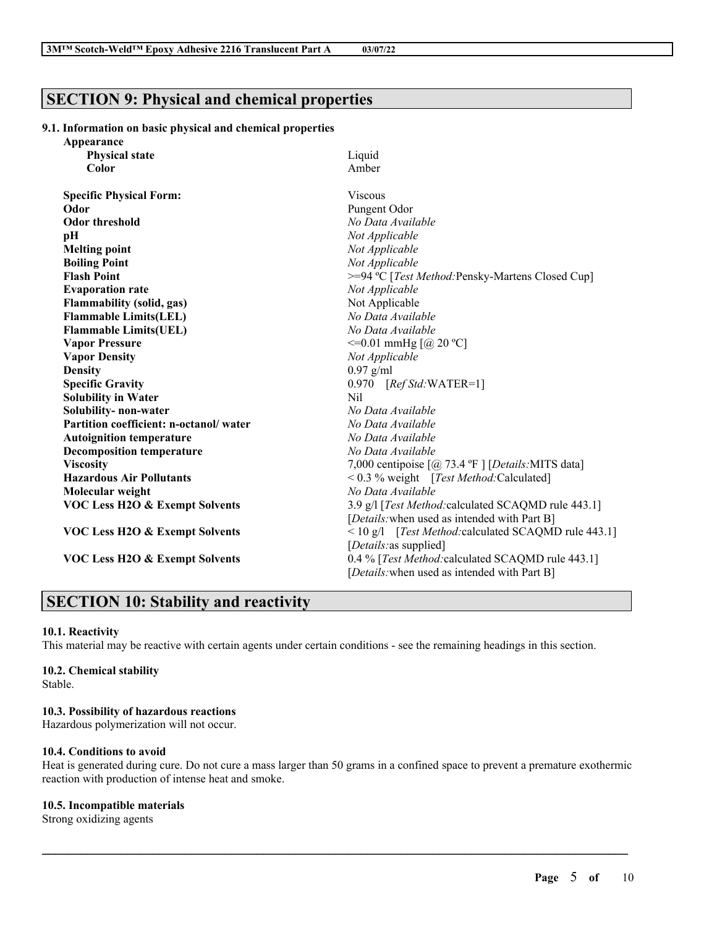# **SECTION 9: Physical and chemical properties**

#### **9.1. Information on basic physical and chemical properties**

| Appearance                                |                                                                               |  |  |  |
|-------------------------------------------|-------------------------------------------------------------------------------|--|--|--|
| <b>Physical state</b>                     | Liquid                                                                        |  |  |  |
| Color                                     | Amber                                                                         |  |  |  |
| <b>Specific Physical Form:</b>            | <b>Viscous</b>                                                                |  |  |  |
| Odor                                      | Pungent Odor                                                                  |  |  |  |
| <b>Odor threshold</b>                     | No Data Available                                                             |  |  |  |
| pН                                        | Not Applicable                                                                |  |  |  |
| <b>Melting point</b>                      | Not Applicable                                                                |  |  |  |
| <b>Boiling Point</b>                      | Not Applicable                                                                |  |  |  |
| <b>Flash Point</b>                        | >=94 °C [Test Method: Pensky-Martens Closed Cup]                              |  |  |  |
| <b>Evaporation rate</b>                   | Not Applicable                                                                |  |  |  |
| <b>Flammability (solid, gas)</b>          | Not Applicable                                                                |  |  |  |
| <b>Flammable Limits(LEL)</b>              | No Data Available                                                             |  |  |  |
| <b>Flammable Limits(UEL)</b>              | No Data Available                                                             |  |  |  |
| <b>Vapor Pressure</b>                     | $\leq$ =0.01 mmHg [@ 20 °C]                                                   |  |  |  |
| <b>Vapor Density</b>                      | Not Applicable                                                                |  |  |  |
| <b>Density</b>                            | $0.97$ g/ml                                                                   |  |  |  |
| <b>Specific Gravity</b>                   | $0.970$ [Ref Std:WATER=1]                                                     |  |  |  |
| <b>Solubility in Water</b>                | Nil                                                                           |  |  |  |
| Solubility- non-water                     | No Data Available                                                             |  |  |  |
| Partition coefficient: n-octanol/water    | No Data Available                                                             |  |  |  |
| <b>Autoignition temperature</b>           | No Data Available                                                             |  |  |  |
| <b>Decomposition temperature</b>          | No Data Available                                                             |  |  |  |
| <b>Viscosity</b>                          | 7,000 centipoise $\lceil \omega \rceil$ 73.4 °F $\rceil$ [Details: MITS data] |  |  |  |
| <b>Hazardous Air Pollutants</b>           | < 0.3 % weight [Test Method: Calculated]                                      |  |  |  |
| Molecular weight                          | No Data Available                                                             |  |  |  |
| <b>VOC Less H2O &amp; Exempt Solvents</b> | 3.9 g/l [Test Method: calculated SCAQMD rule 443.1]                           |  |  |  |
|                                           | [Details: when used as intended with Part B]                                  |  |  |  |
| <b>VOC Less H2O &amp; Exempt Solvents</b> | < 10 g/l [Test Method: calculated SCAQMD rule 443.1]                          |  |  |  |
|                                           | [ <i>Details</i> : as supplied]                                               |  |  |  |
| VOC Less H2O & Exempt Solvents            | 0.4 % [Test Method: calculated SCAQMD rule 443.1]                             |  |  |  |
|                                           | [ <i>Details</i> : when used as intended with Part B]                         |  |  |  |

# **SECTION 10: Stability and reactivity**

#### **10.1. Reactivity**

This material may be reactive with certain agents under certain conditions - see the remaining headings in this section.

#### **10.2. Chemical stability**

Stable.

### **10.3. Possibility of hazardous reactions**

Hazardous polymerization will not occur.

### **10.4. Conditions to avoid**

Heat is generated during cure. Do not cure a mass larger than 50 grams in a confined space to prevent a premature exothermic reaction with production of intense heat and smoke.

 $\mathcal{L}_\mathcal{L} = \mathcal{L}_\mathcal{L} = \mathcal{L}_\mathcal{L} = \mathcal{L}_\mathcal{L} = \mathcal{L}_\mathcal{L} = \mathcal{L}_\mathcal{L} = \mathcal{L}_\mathcal{L} = \mathcal{L}_\mathcal{L} = \mathcal{L}_\mathcal{L} = \mathcal{L}_\mathcal{L} = \mathcal{L}_\mathcal{L} = \mathcal{L}_\mathcal{L} = \mathcal{L}_\mathcal{L} = \mathcal{L}_\mathcal{L} = \mathcal{L}_\mathcal{L} = \mathcal{L}_\mathcal{L} = \mathcal{L}_\mathcal{L}$ 

### **10.5. Incompatible materials**

Strong oxidizing agents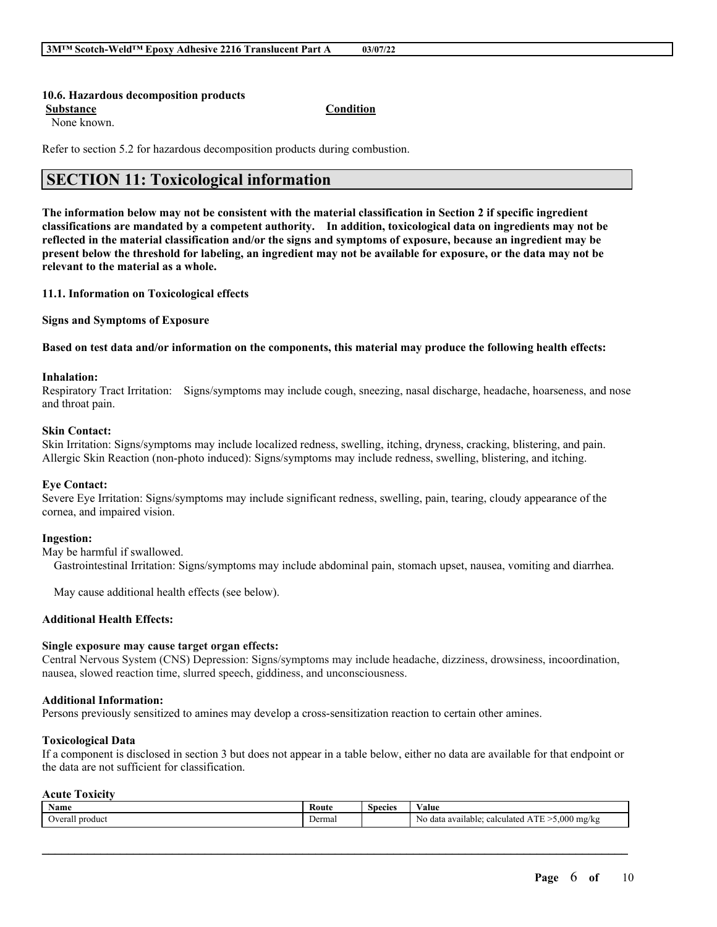#### **10.6. Hazardous decomposition products**

**Substance Condition**

None known.

Refer to section 5.2 for hazardous decomposition products during combustion.

### **SECTION 11: Toxicological information**

The information below may not be consistent with the material classification in Section 2 if specific ingredient **classifications are mandated by a competent authority. In addition, toxicological data on ingredients may not be** reflected in the material classification and/or the signs and symptoms of exposure, because an ingredient may be present below the threshold for labeling, an ingredient may not be available for exposure, or the data may not be **relevant to the material as a whole.**

#### **11.1. Information on Toxicological effects**

**Signs and Symptoms of Exposure**

Based on test data and/or information on the components, this material may produce the following health effects:

#### **Inhalation:**

Respiratory Tract Irritation: Signs/symptoms may include cough, sneezing, nasal discharge, headache, hoarseness, and nose and throat pain.

#### **Skin Contact:**

Skin Irritation: Signs/symptoms may include localized redness, swelling, itching, dryness, cracking, blistering, and pain. Allergic Skin Reaction (non-photo induced): Signs/symptoms may include redness, swelling, blistering, and itching.

#### **Eye Contact:**

Severe Eye Irritation: Signs/symptoms may include significant redness, swelling, pain, tearing, cloudy appearance of the cornea, and impaired vision.

#### **Ingestion:**

May be harmful if swallowed.

Gastrointestinal Irritation: Signs/symptoms may include abdominal pain, stomach upset, nausea, vomiting and diarrhea.

May cause additional health effects (see below).

#### **Additional Health Effects:**

#### **Single exposure may cause target organ effects:**

Central Nervous System (CNS) Depression: Signs/symptoms may include headache, dizziness, drowsiness, incoordination, nausea, slowed reaction time, slurred speech, giddiness, and unconsciousness.

#### **Additional Information:**

Persons previously sensitized to amines may develop a cross-sensitization reaction to certain other amines.

#### **Toxicological Data**

If a component is disclosed in section 3 but does not appear in a table below, either no data are available for that endpoint or the data are not sufficient for classification.

#### **Acute Toxicity**

| . .<br>Name            | Koute  | Species | $ -$<br>Value                                                                 |
|------------------------|--------|---------|-------------------------------------------------------------------------------|
| 11<br>produc<br>Veral. | Jermal |         | .000<br>No<br><b>CONTRACT</b><br>' mg/k⊆<br>a available<br>calculated<br>data |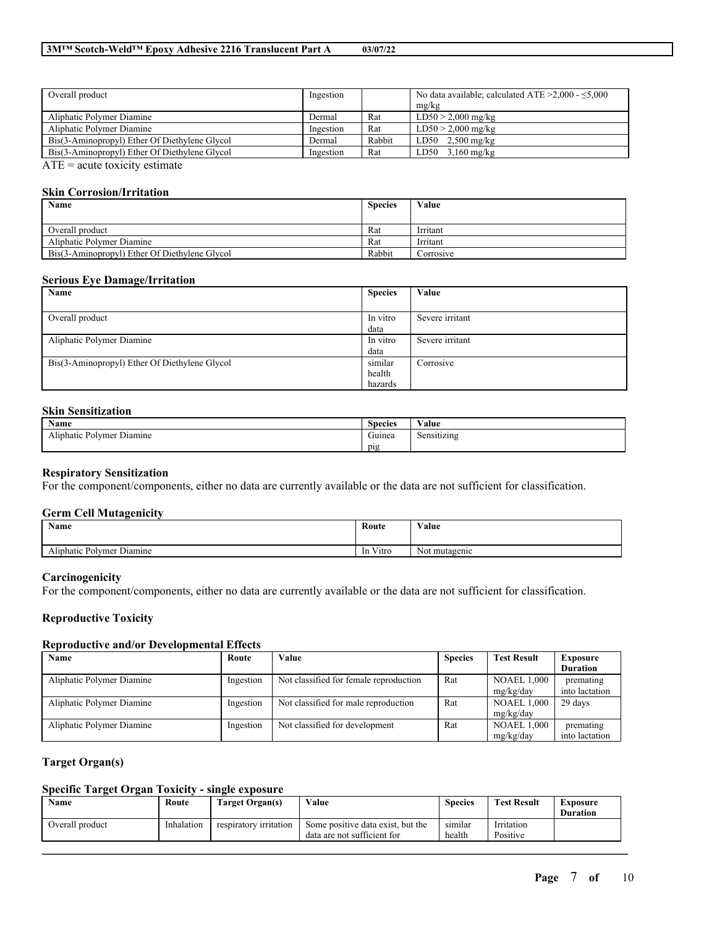| Overall product                               | Ingestion |        | No data available; calculated ATE $\geq 2,000 - 5,000$ |
|-----------------------------------------------|-----------|--------|--------------------------------------------------------|
|                                               |           |        | mg/kg                                                  |
| Aliphatic Polymer Diamine                     | Dermal    | Rat    | $LD50 > 2,000$ mg/kg                                   |
| Aliphatic Polymer Diamine                     | Ingestion | Rat    | $LD50 > 2,000$ mg/kg                                   |
| Bis(3-Aminopropyl) Ether Of Diethylene Glycol | Dermal    | Rabbit | $LD50$ 2,500 mg/kg                                     |
| Bis(3-Aminopropyl) Ether Of Diethylene Glycol | Ingestion | Rat    | $LD50$ 3,160 mg/kg                                     |
| $\triangle T T$                               |           |        |                                                        |

 $ATE = acute$  toxicity estimate

#### **Skin Corrosion/Irritation**

| Name                                          | <b>Species</b> | Value     |
|-----------------------------------------------|----------------|-----------|
|                                               |                |           |
| Overall product                               | Rat            | Irritant  |
| Aliphatic Polymer Diamine                     | Rat            | Irritant  |
| Bis(3-Aminopropyl) Ether Of Diethylene Glycol | Rabbit         | Corrosive |

#### **Serious Eye Damage/Irritation**

| Name                                          | <b>Species</b> | Value           |
|-----------------------------------------------|----------------|-----------------|
|                                               |                |                 |
| Overall product                               | In vitro       | Severe irritant |
|                                               | data           |                 |
| Aliphatic Polymer Diamine                     | In vitro       | Severe irritant |
|                                               | data           |                 |
| Bis(3-Aminopropyl) Ether Of Diethylene Glycol | similar        | Corrosive       |
|                                               | health         |                 |
|                                               | hazards        |                 |

### **Skin Sensitization**

| <b>Name</b>                                   | $\sim$<br><b>Species</b> | $\mathbf{v}$<br>Value |
|-----------------------------------------------|--------------------------|-----------------------|
| <b>Sec. 1</b><br>Aliphatic Polymer<br>Diamine | $\sim$<br>Guinea         | Sensitizing           |
|                                               | pig                      |                       |

#### **Respiratory Sensitization**

For the component/components, either no data are currently available or the data are not sufficient for classification.

#### **Germ Cell Mutagenicity**

| <b>Name</b>                                      | Route                                 | Value         |
|--------------------------------------------------|---------------------------------------|---------------|
| <b>The State</b><br>Diamine<br>Aliphatic Polymer | ren virus.<br>Vitro<br><sub>1</sub> n | Not mutagenic |

#### **Carcinogenicity**

For the component/components, either no data are currently available or the data are not sufficient for classification.

#### **Reproductive Toxicity**

#### **Reproductive and/or Developmental Effects**

| Name                      | Route     | Value                                  | <b>Species</b> | <b>Test Result</b> | <b>Exposure</b> |
|---------------------------|-----------|----------------------------------------|----------------|--------------------|-----------------|
|                           |           |                                        |                |                    | <b>Duration</b> |
| Aliphatic Polymer Diamine | Ingestion | Not classified for female reproduction | Rat            | <b>NOAEL 1,000</b> | premating       |
|                           |           |                                        |                | mg/kg/day          | into lactation  |
| Aliphatic Polymer Diamine | Ingestion | Not classified for male reproduction   | Rat            | <b>NOAEL 1,000</b> | 29 days         |
|                           |           |                                        |                | mg/kg/day          |                 |
| Aliphatic Polymer Diamine | Ingestion | Not classified for development         | Rat            | <b>NOAEL 1,000</b> | premating       |
|                           |           |                                        |                | mg/kg/day          | into lactation  |

#### **Target Organ(s)**

### **Specific Target Organ Toxicity - single exposure**

| Name            | Route      | Target Organ(s)        | Value                                                            | <b>Species</b>    | <b>Test Result</b>     | Exposure<br><b>Duration</b> |
|-----------------|------------|------------------------|------------------------------------------------------------------|-------------------|------------------------|-----------------------------|
| Overall product | Inhalation | respiratory irritation | Some positive data exist, but the<br>data are not sufficient for | similar<br>health | Irritation<br>Positive |                             |
|                 |            |                        |                                                                  |                   |                        |                             |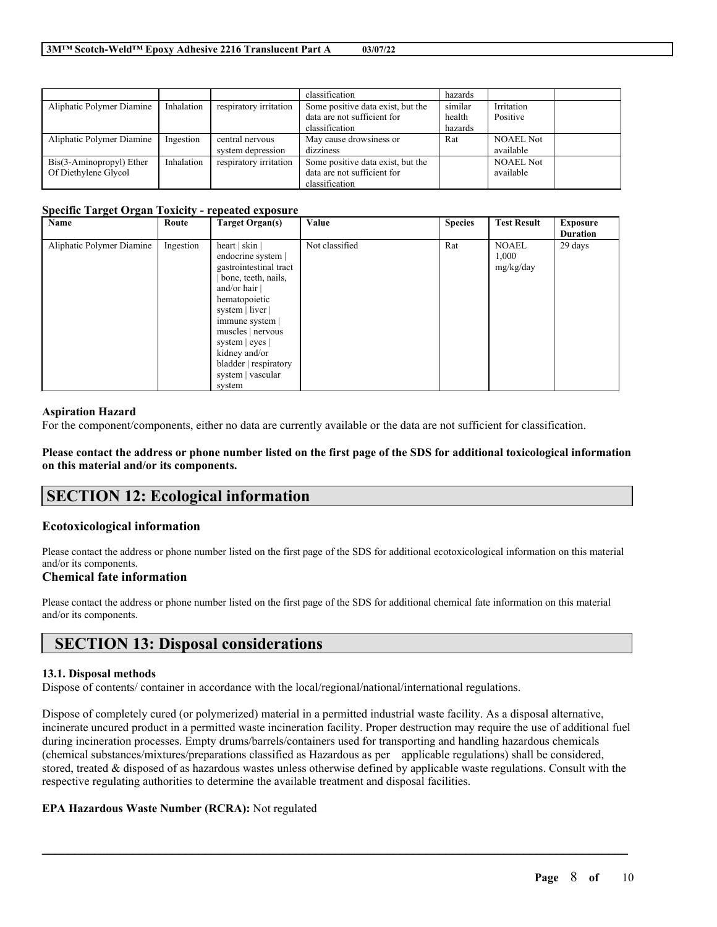|                           |            |                        | classification                    | hazards |                  |  |
|---------------------------|------------|------------------------|-----------------------------------|---------|------------------|--|
| Aliphatic Polymer Diamine | Inhalation | respiratory irritation | Some positive data exist, but the | similar | Irritation       |  |
|                           |            |                        | data are not sufficient for       | health  | Positive         |  |
|                           |            |                        | classification                    | hazards |                  |  |
| Aliphatic Polymer Diamine | Ingestion  | central nervous        | May cause drowsiness or           | Rat     | <b>NOAEL Not</b> |  |
|                           |            | system depression      | dizziness                         |         | available        |  |
| Bis(3-Aminopropyl) Ether  | Inhalation | respiratory irritation | Some positive data exist, but the |         | <b>NOAEL Not</b> |  |
| Of Diethylene Glycol      |            |                        | data are not sufficient for       |         | available        |  |
|                           |            |                        | classification                    |         |                  |  |

#### **Specific Target Organ Toxicity - repeated exposure**

| Name                      | Route     | <b>Target Organ(s)</b>                                                                                                                                                                                                                                                          | Value          | <b>Species</b> | <b>Test Result</b>                 | <b>Exposure</b> |
|---------------------------|-----------|---------------------------------------------------------------------------------------------------------------------------------------------------------------------------------------------------------------------------------------------------------------------------------|----------------|----------------|------------------------------------|-----------------|
|                           |           |                                                                                                                                                                                                                                                                                 |                |                |                                    | <b>Duration</b> |
| Aliphatic Polymer Diamine | Ingestion | heart   skin  <br>endocrine system  <br>gastrointestinal tract<br>bone, teeth, nails,<br>and/or hair<br>hematopoietic<br>system   liver  <br>immune system<br>muscles   nervous<br>system $ $ eyes $ $<br>kidney and/or<br>bladder   respiratory<br>system   vascular<br>system | Not classified | Rat            | <b>NOAEL</b><br>1,000<br>mg/kg/day | 29 days         |

#### **Aspiration Hazard**

For the component/components, either no data are currently available or the data are not sufficient for classification.

Please contact the address or phone number listed on the first page of the SDS for additional toxicological information **on this material and/or its components.**

# **SECTION 12: Ecological information**

#### **Ecotoxicological information**

Please contact the address or phone number listed on the first page of the SDS for additional ecotoxicological information on this material and/or its components.

#### **Chemical fate information**

Please contact the address or phone number listed on the first page of the SDS for additional chemical fate information on this material and/or its components.

### **SECTION 13: Disposal considerations**

#### **13.1. Disposal methods**

Dispose of contents/ container in accordance with the local/regional/national/international regulations.

Dispose of completely cured (or polymerized) material in a permitted industrial waste facility. As a disposal alternative, incinerate uncured product in a permitted waste incineration facility. Proper destruction may require the use of additional fuel during incineration processes. Empty drums/barrels/containers used for transporting and handling hazardous chemicals (chemical substances/mixtures/preparations classified as Hazardous as per applicable regulations) shall be considered, stored, treated & disposed of as hazardous wastes unless otherwise defined by applicable waste regulations. Consult with the respective regulating authorities to determine the available treatment and disposal facilities.

 $\mathcal{L}_\mathcal{L} = \mathcal{L}_\mathcal{L} = \mathcal{L}_\mathcal{L} = \mathcal{L}_\mathcal{L} = \mathcal{L}_\mathcal{L} = \mathcal{L}_\mathcal{L} = \mathcal{L}_\mathcal{L} = \mathcal{L}_\mathcal{L} = \mathcal{L}_\mathcal{L} = \mathcal{L}_\mathcal{L} = \mathcal{L}_\mathcal{L} = \mathcal{L}_\mathcal{L} = \mathcal{L}_\mathcal{L} = \mathcal{L}_\mathcal{L} = \mathcal{L}_\mathcal{L} = \mathcal{L}_\mathcal{L} = \mathcal{L}_\mathcal{L}$ 

#### **EPA Hazardous Waste Number (RCRA):** Not regulated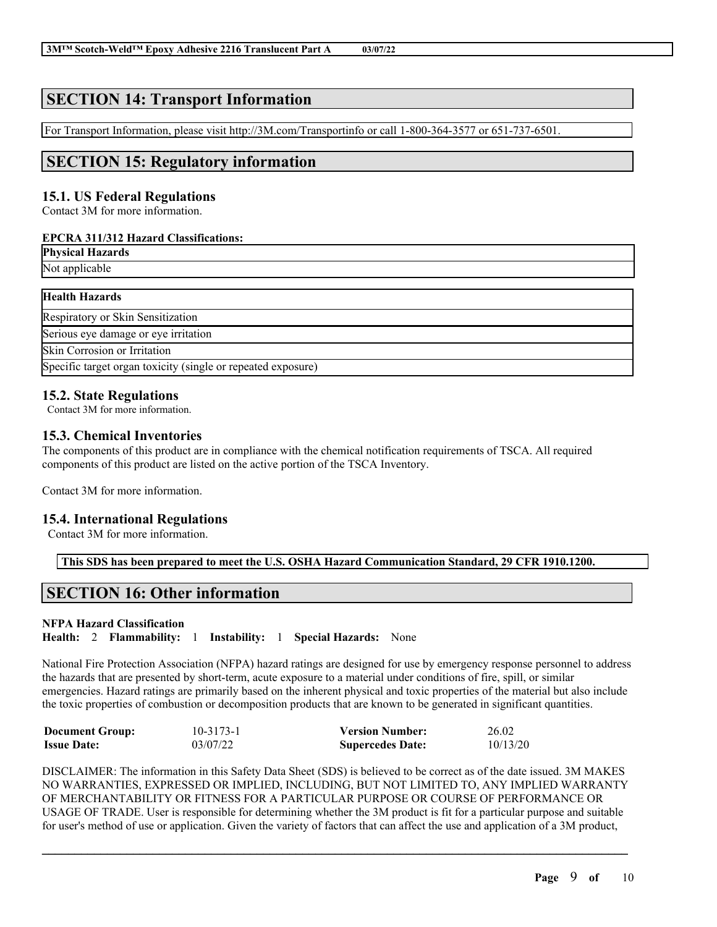# **SECTION 14: Transport Information**

For Transport Information, please visit http://3M.com/Transportinfo or call 1-800-364-3577 or 651-737-6501.

# **SECTION 15: Regulatory information**

### **15.1. US Federal Regulations**

Contact 3M for more information.

#### **EPCRA 311/312 Hazard Classifications:**

| <b>Physical Hazards</b> |
|-------------------------|
|                         |

Not applicable

### **Health Hazards**

| Respiratory or Skin Sensitization                            |
|--------------------------------------------------------------|
| Serious eye damage or eye irritation                         |
| Skin Corrosion or Irritation                                 |
| Specific target organ toxicity (single or repeated exposure) |

### **15.2. State Regulations**

Contact 3M for more information.

### **15.3. Chemical Inventories**

The components of this product are in compliance with the chemical notification requirements of TSCA. All required components of this product are listed on the active portion of the TSCA Inventory.

Contact 3M for more information.

### **15.4. International Regulations**

Contact 3M for more information.

**This SDS has been prepared to meet the U.S. OSHA Hazard Communication Standard, 29 CFR 1910.1200.**

# **SECTION 16: Other information**

### **NFPA Hazard Classification**

**Health:** 2 **Flammability:** 1 **Instability:** 1 **Special Hazards:** None

National Fire Protection Association (NFPA) hazard ratings are designed for use by emergency response personnel to address the hazards that are presented by short-term, acute exposure to a material under conditions of fire, spill, or similar emergencies. Hazard ratings are primarily based on the inherent physical and toxic properties of the material but also include the toxic properties of combustion or decomposition products that are known to be generated in significant quantities.

| <b>Document Group:</b> | $10 - 3173 - 1$ | <b>Version Number:</b>  | 26.02    |
|------------------------|-----------------|-------------------------|----------|
| <b>Issue Date:</b>     | 03/07/22        | <b>Supercedes Date:</b> | 10/13/20 |

DISCLAIMER: The information in this Safety Data Sheet (SDS) is believed to be correct as of the date issued. 3M MAKES NO WARRANTIES, EXPRESSED OR IMPLIED, INCLUDING, BUT NOT LIMITED TO, ANY IMPLIED WARRANTY OF MERCHANTABILITY OR FITNESS FOR A PARTICULAR PURPOSE OR COURSE OF PERFORMANCE OR USAGE OF TRADE. User is responsible for determining whether the 3M product is fit for a particular purpose and suitable for user's method of use or application. Given the variety of factors that can affect the use and application of a 3M product,